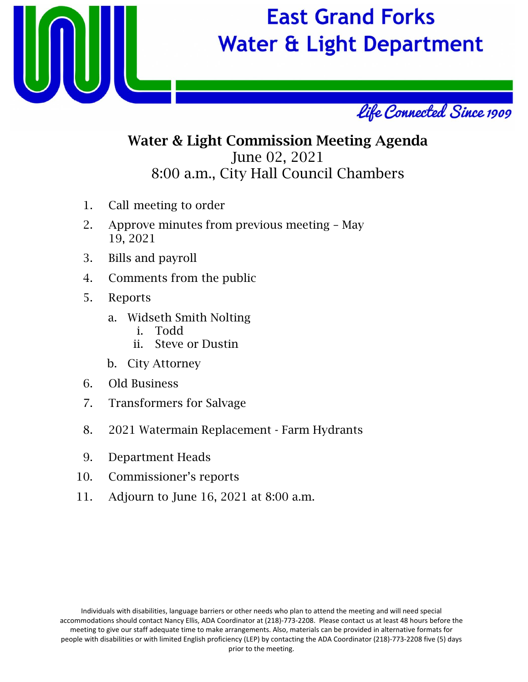

# **East Grand Forks Water & Light Department**



## Water & Light Commission Meeting Agenda June 02, 2021 8:00 a.m., City Hall Council Chambers

- 1. Call meeting to order
- 2. Approve minutes from previous meeting May 19, 2021
- 3. Bills and payroll
- 4. Comments from the public
- 5. Reports
	- a. Widseth Smith Nolting
		- i. Todd
		- ii. Steve or Dustin
	- b. City Attorney
- 6. Old Business
- 7. Transformers for Salvage
- 8. 2021 Watermain Replacement Farm Hydrants
- 9. Department Heads
- 10. Commissioner's reports
- 11. Adjourn to June 16, 2021 at 8:00 a.m.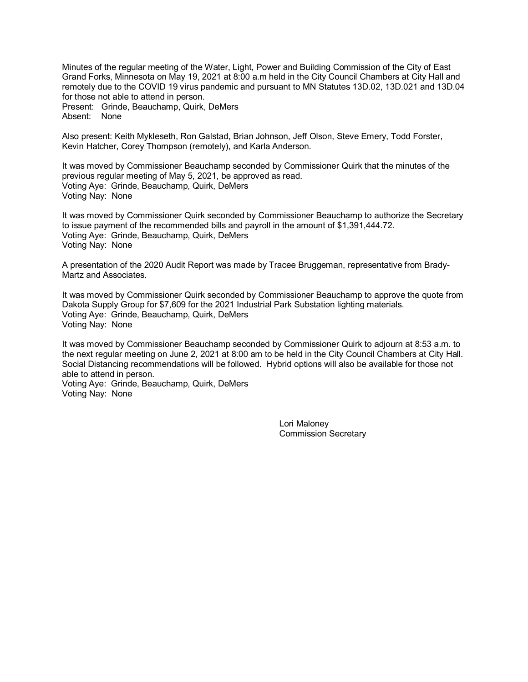Minutes of the regular meeting of the Water, Light, Power and Building Commission of the City of East Grand Forks, Minnesota on May 19, 2021 at 8:00 a.m held in the City Council Chambers at City Hall and remotely due to the COVID 19 virus pandemic and pursuant to MN Statutes 13D.02, 13D.021 and 13D.04 for those not able to attend in person. Present: Grinde, Beauchamp, Quirk, DeMers

Absent: None

Also present: Keith Mykleseth, Ron Galstad, Brian Johnson, Jeff Olson, Steve Emery, Todd Forster, Kevin Hatcher, Corey Thompson (remotely), and Karla Anderson.

It was moved by Commissioner Beauchamp seconded by Commissioner Quirk that the minutes of the previous regular meeting of May 5, 2021, be approved as read. Voting Aye: Grinde, Beauchamp, Quirk, DeMers Voting Nay: None

It was moved by Commissioner Quirk seconded by Commissioner Beauchamp to authorize the Secretary to issue payment of the recommended bills and payroll in the amount of \$1,391,444.72. Voting Aye: Grinde, Beauchamp, Quirk, DeMers Voting Nay: None

A presentation of the 2020 Audit Report was made by Tracee Bruggeman, representative from Brady-Martz and Associates.

It was moved by Commissioner Quirk seconded by Commissioner Beauchamp to approve the quote from Dakota Supply Group for \$7,609 for the 2021 Industrial Park Substation lighting materials. Voting Aye: Grinde, Beauchamp, Quirk, DeMers Voting Nay: None

It was moved by Commissioner Beauchamp seconded by Commissioner Quirk to adjourn at 8:53 a.m. to the next regular meeting on June 2, 2021 at 8:00 am to be held in the City Council Chambers at City Hall. Social Distancing recommendations will be followed. Hybrid options will also be available for those not able to attend in person.

Voting Aye: Grinde, Beauchamp, Quirk, DeMers Voting Nay: None

> Lori Maloney Commission Secretary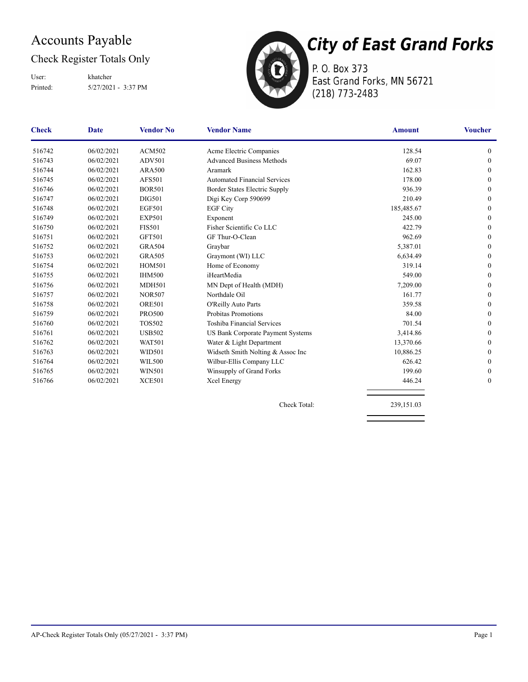### Accounts Payable

#### Check Register Totals Only

Printed: 5/27/2021 - 3:37 PM User: khatcher



P. O. Box 373 East Grand Forks, MN 56721 (218) 773-2483

| <b>Check</b> | <b>Date</b> | <b>Vendor No</b> | <b>Vendor Name</b>                       | <b>Amount</b> | <b>Voucher</b>   |
|--------------|-------------|------------------|------------------------------------------|---------------|------------------|
| 516742       | 06/02/2021  | <b>ACM502</b>    | Acme Electric Companies                  | 128.54        | $\mathbf{0}$     |
| 516743       | 06/02/2021  | <b>ADV501</b>    | <b>Advanced Business Methods</b>         | 69.07         | $\mathbf{0}$     |
| 516744       | 06/02/2021  | <b>ARA500</b>    | Aramark                                  | 162.83        | $\mathbf{0}$     |
| 516745       | 06/02/2021  | <b>AFS501</b>    | <b>Automated Financial Services</b>      | 178.00        | $\Omega$         |
| 516746       | 06/02/2021  | <b>BOR501</b>    | Border States Electric Supply            | 936.39        | $\mathbf{0}$     |
| 516747       | 06/02/2021  | <b>DIG501</b>    | Digi Key Corp 590699                     | 210.49        | $\Omega$         |
| 516748       | 06/02/2021  | <b>EGF501</b>    | <b>EGF City</b>                          | 185,485.67    | $\mathbf{0}$     |
| 516749       | 06/02/2021  | <b>EXP501</b>    | Exponent                                 | 245.00        | $\mathbf{0}$     |
| 516750       | 06/02/2021  | <b>FIS501</b>    | Fisher Scientific Co LLC                 | 422.79        | $\mathbf{0}$     |
| 516751       | 06/02/2021  | GFT501           | GF Thur-O-Clean                          | 962.69        | $\mathbf{0}$     |
| 516752       | 06/02/2021  | <b>GRA504</b>    | Graybar                                  | 5,387.01      | $\theta$         |
| 516753       | 06/02/2021  | <b>GRA505</b>    | Graymont (WI) LLC                        | 6,634.49      | $\mathbf{0}$     |
| 516754       | 06/02/2021  | <b>HOM501</b>    | Home of Economy                          | 319.14        | $\mathbf{0}$     |
| 516755       | 06/02/2021  | <b>IHM500</b>    | iHeartMedia                              | 549.00        | $\theta$         |
| 516756       | 06/02/2021  | <b>MDH501</b>    | MN Dept of Health (MDH)                  | 7,209.00      | $\mathbf{0}$     |
| 516757       | 06/02/2021  | <b>NOR507</b>    | Northdale Oil                            | 161.77        | $\mathbf{0}$     |
| 516758       | 06/02/2021  | <b>ORE501</b>    | O'Reilly Auto Parts                      | 359.58        | $\mathbf{0}$     |
| 516759       | 06/02/2021  | <b>PRO500</b>    | Probitas Promotions                      | 84.00         | $\mathbf{0}$     |
| 516760       | 06/02/2021  | <b>TOS502</b>    | Toshiba Financial Services               | 701.54        | $\mathbf{0}$     |
| 516761       | 06/02/2021  | <b>USB502</b>    | <b>US Bank Corporate Payment Systems</b> | 3,414.86      | $\mathbf{0}$     |
| 516762       | 06/02/2021  | <b>WAT501</b>    | Water & Light Department                 | 13,370.66     | $\Omega$         |
| 516763       | 06/02/2021  | WID501           | Widseth Smith Nolting & Assoc Inc        | 10,886.25     | $\mathbf{0}$     |
| 516764       | 06/02/2021  | <b>WIL500</b>    | Wilbur-Ellis Company LLC                 | 626.42        | $\mathbf{0}$     |
| 516765       | 06/02/2021  | <b>WIN501</b>    | Winsupply of Grand Forks                 | 199.60        | $\mathbf{0}$     |
| 516766       | 06/02/2021  | <b>XCE501</b>    | Xcel Energy                              | 446.24        | $\boldsymbol{0}$ |
|              |             |                  |                                          |               |                  |

Check Total: 239,151.03

AP-Check Register Totals Only (05/27/2021 - 3:37 PM) Page 1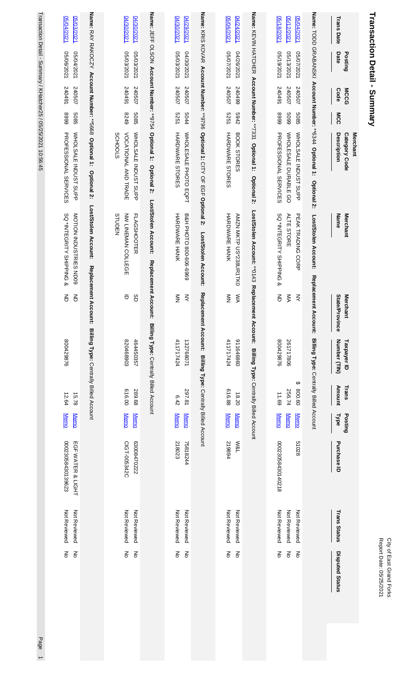| <b>Transaction Detail - Summary</b>                 |                          |                     |              |                                                                     |                                                    |                                   |                                                         |                  |                            |                                        |                              | Report Date: 05/25/2021<br>City of East Grand Forks   |
|-----------------------------------------------------|--------------------------|---------------------|--------------|---------------------------------------------------------------------|----------------------------------------------------|-----------------------------------|---------------------------------------------------------|------------------|----------------------------|----------------------------------------|------------------------------|-------------------------------------------------------|
| <b>Trans Date</b>                                   | Date<br>Posting          | <b>MCCG</b><br>Code | MCC          | <b>Description</b><br>Merchant<br>Category Code                     | Name<br><b>Merchant</b>                            | State/Province<br><b>Merchant</b> | Number (TIN)<br>Taxpayer ID                             | Amount<br>Trans  | Posting<br><b>Type</b>     | Purchase ID                            | <b>Trans Status</b>          | <b>Disputed Status</b>                                |
|                                                     |                          |                     |              | Name: TODD GRABANSKI Account Number: **6344 Optional 1: Optional 2: | Lost/Stolen Account:<br>Replacemer                 | <b>1t Account:</b>                | Billing Type: Centrally Billed Account                  |                  |                            |                                        |                              |                                                       |
| 05/12/2021<br>05/04/2021                            | 05/13/2021<br>05/07/2021 | 240507<br>240507    | 6609<br>5085 | WHOLE SALE DURABLE GO<br>WHOLSALE INDUST SUPP                       | PEAK TRADING<br><b>ALTE STORE</b><br>CORP          | $\gtrless$<br>ŠМ                  | 261717806<br>↔                                          | 800.60<br>256.74 | <b>Memo</b><br><b>Memo</b> | 51028                                  | Not Reviewed<br>Not Reviewed | $\mathop{\mathsf{S}}\nolimits$<br>$\mathbf{g}$        |
| 05/18/2021                                          | 18/19/2021               | 167045              | 6668         | <b>PROFESSIONAL SERVICES</b>                                        | SQ *INTEGRITY SHIPPING &                           | 증                                 | 800429876                                               | 11.69            | <b>Memo</b>                | 00023058430140218                      | Not Reviewed                 | $\frac{2}{\sigma}$                                    |
|                                                     |                          |                     |              | Name: KEVIN HATCHER Account Number: **7331 Optional 1: Optional 2:  | Lost/Stolen Account: ** 0143 Replacement Account:  |                                   | Billing Type: Centrally Billed Account                  |                  |                            |                                        |                              |                                                       |
| 05/06/2021<br>04/24/2021                            | 05/07/2021<br>04/26/2021 | 240507<br>540499    | 2942<br>5251 | HARDNARE STORES<br>BOOK STORES                                      | <b>HARDWARE HANK</b><br>AMZN MKTP US*238UR1TKO     | ŠХ<br>$\frac{2}{2}$               | 411717424<br>098979116                                  | 616.88<br>18.20  | <b>Memo</b><br><b>Memo</b> | 219894<br><b>W&amp;L</b>               | Not Reviewed<br>Not Reviewed | $\mathop{\text{S}}$<br>$\mathop{\mathsf{S}}\nolimits$ |
| Name: KRIS KOVAR Account Number: **9796             |                          |                     |              | Optional 1: CITY OF EGF Optional 2:                                 | Lost/Stolen Account:                               | Repla                             | acement Account: Billing Type: Centrally Billed Account |                  |                            |                                        |                              |                                                       |
| 04/30/2021<br>04/29/2021                            | 1202/2021<br>1202/02/20  | 240507<br>240507    | 5251<br>5044 | HARDWARE STORES<br>WHOLE SALE PHOTO EQPT                            | B&H PHOTO 800-606-6969<br>HARDWARE HANK            | ξ<br>$\frac{2}{2}$                | 411717424<br>132768071                                  | 297.81<br>6.42   | <b>Memo</b><br><b>Memo</b> | 218023<br>75818244                     | Not Reviewed<br>Not Reviewed | $\mathop{\text{S}}$<br>$\frac{2}{\sigma}$             |
| Name: JEFF OLSON Account Number: **9754 Optional 1: |                          |                     |              | Optional 2:                                                         | Lost/Stolen Account:<br>Replacement Account:       |                                   | Billing Type: Centrally Billed Account                  |                  |                            |                                        |                              |                                                       |
| 04/30/2021<br>04/30/2021                            | 1202/2021<br>05/03/2021  | 167042<br>240507    | 8249<br>5085 | VOCATIONAL AND TRADE<br>WHOLSALE INDUST SUPP<br>SCHOOLS             | NW LINEMAN COLLEGE<br><b>FLAGSHOOTER</b><br>STUDEN | $\bar{\sigma}$<br>SD              | 820468903<br>464450357                                  | 00'919<br>289.68 | <b>Memo</b><br><b>Memo</b> | 63008470222<br>CIGT-005342C            | Not Reviewed<br>Not Reviewed | ξ<br>$\mathop{\mathsf{S}}\nolimits$                   |
|                                                     |                          |                     |              | <b>Optional 2:</b>                                                  | Lost/Stolen Account:<br>Replacement A              | ccount:                           | Billing Type: Centrally Billed Account                  |                  |                            |                                        |                              |                                                       |
| 05/04/2021<br>05/03/2021                            | 05/06/2021<br>05/04/2021 | 16+045<br>240507    | 6668<br>5085 | <b>PROFESSIONAL SERVICES</b><br>WHOLSALE INDUST SUPP                | NOTION INDUSTRIES ND09<br>SQ *INTEGRITY SHIPPING & | 증<br>증                            | 800429876                                               | 12.64<br>15.78   | <b>Memo</b><br><b>Memo</b> | 00023058430139623<br>EGF WATER & LIGHT | Not Reviewed<br>Not Reviewed | $\mathsf{K}^{\mathsf{C}}$<br>$\frac{2}{\sigma}$       |

Transaction Detail - Summary / KHatcher25 / 05/25/2021 10:56:45 Transaction Detail - Summary / KHatcher25 / 05/25/2021 10:56:45 Page 1

Page 1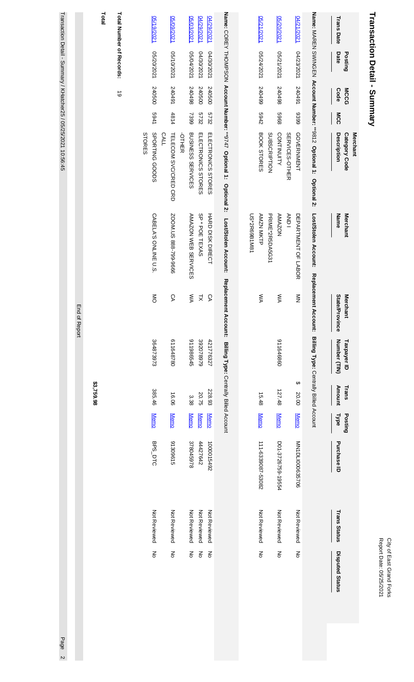| ₹<br>ă<br>Š<br>ś<br>, | È<br>≒ |
|-----------------------|--------|
|-----------------------|--------|

# Transaction Detail - Summary **Transaction Detail - Summary**

|               | Total      | Total Number of Records: | V <sub>2/19/2021</sub>                  | 05/09/2021                           | 05/03/2021               | 04/29/2021         | 04/29/2021         |                                                                     | 05/21/2021                       | 05/20/2021                              |                | 04/21/2021          |                                                                    | <b>Trans Date</b>                        |
|---------------|------------|--------------------------|-----------------------------------------|--------------------------------------|--------------------------|--------------------|--------------------|---------------------------------------------------------------------|----------------------------------|-----------------------------------------|----------------|---------------------|--------------------------------------------------------------------|------------------------------------------|
|               |            |                          | 12020/2021                              | 1202/10/2021                         | 05/04/2021               | 14/30/2021         | 14/30/2021         |                                                                     | 05/24/2021                       | 1202175021                              |                | 04/23/2021          |                                                                    | Date<br>Posting                          |
|               |            | $\vec{\circ}$            | 240500                                  | 167042                               | 867042                   | 240500             | 240500             |                                                                     | 540499                           | 86+045                                  |                | 167042              |                                                                    | Code<br><b>MCCG</b>                      |
|               |            |                          | 1769                                    | 4814                                 | 7399                     | 5732               | 5732               |                                                                     | 2769                             | 8969                                    |                | 8399                |                                                                    | MCC                                      |
|               |            |                          | SPORTING GODDS<br>STORES<br><b>CALL</b> | TELECOM SVC/CRED CRD<br><b>OTHER</b> | <b>BUSINESS SERVICES</b> | ELECTRONICS STORES | ELECTRONICS STORES | Name: COREY THOMPSON Account Number: **9747 Optional 1: Optional 2: | BOOK STORES                      | <b>CONTINUITY</b><br>SUBSCRIPTION       | SERVICES-OTHER | GOVERNMENT          | Name: MAREN SWINGEN Account Number: **9812 Optional 1: Optional 2: | Category Code<br>Description<br>Merchant |
|               |            |                          | CABELA'S ONLINE U.S.                    | ZOOM.US 888-799-9666                 | AMAZON WEB SERVICES      | SP * POE TEXAS     | HARD DISK DIECT    | Lost/Stolen Account:                                                | US*2R69B1M81<br><b>AMZN MKTP</b> | <b>PRIME*2R5DA5G31</b><br><b>AMAZON</b> | <b>ANDI</b>    | DEPARTMENT OF LABOR | Lost/Stolen Account: Replacement Account:                          | Name<br><b>Merchant</b>                  |
| End of Report |            |                          | $\frac{8}{5}$                           | СA                                   | ŠК                       | ヌ                  | δĄ                 | Replacement Account: Billing Type: Centrally Billed Account         | ŠХ                               | ŠХ                                      |                | $\frac{z}{z}$       |                                                                    | State/Province<br><b>Merchant</b>        |
|               |            |                          | 364873973                               | 611648780                            | 911986545                | 392078979          | 421776327          |                                                                     |                                  | 0989999116                              |                |                     | Billing Type: Centrally Billed Account                             | Number (TIN)<br>Taxpayer ID              |
|               | \$3,759.98 |                          | 385.46                                  | 16.06                                | 3.38                     | 20.75              | 228.93             |                                                                     | 15.48                            | 127.48                                  |                | ↔<br>20.00          |                                                                    | <b>Amount</b><br>Trans                   |
|               |            |                          | <b>Memo</b>                             | <b>Memo</b>                          | <b>Memo</b>              | <b>Memo</b>        | <b>Memo</b>        |                                                                     | <b>Memo</b>                      | <b>Memo</b>                             |                | <b>Memo</b>         |                                                                    | Posting<br><b>Type</b>                   |
|               |            |                          | BPS_DTC                                 | 31309615                             | 378045978                | 44427642           | 1000015492         |                                                                     | 111-6339087-53082                | P267-3726759-19554                      |                | MN1DLI000635706     |                                                                    | Purchase ID                              |
|               |            |                          | Not Reviewed                            | Not Reviewed                         | Not Reviewed             | Not Reviewed       | Not Reviewed       |                                                                     | Not Reviewed                     | Not Reviewed                            |                | Not Reviewed        |                                                                    | <b>Trans Status</b>                      |
|               |            |                          | ξ                                       | ξ                                    | ξ                        | $\overline{5}$     | $\frac{2}{\circ}$  |                                                                     | ξ                                | $\frac{2}{\sigma}$                      |                | ξ                   |                                                                    | <b>Disputed Status</b>                   |
|               |            |                          |                                         |                                      |                          |                    |                    |                                                                     |                                  |                                         |                |                     |                                                                    |                                          |

Transaction Detail - Summary / KHatcher25 / 05/25/2021 10:56:45 Transaction Detail - *S*ummary / KHatcher257 05/25/2021 10:56:45 Page 20 Page 20 Page 20 Page 20 Page 20 Page 20 Page 20 Page 20 Page 20 Page 20 Page 20 Page 20 Page 20 Page 20 Page 20 Page 20 Page 20 Page 20 Page 20 Page

Page 2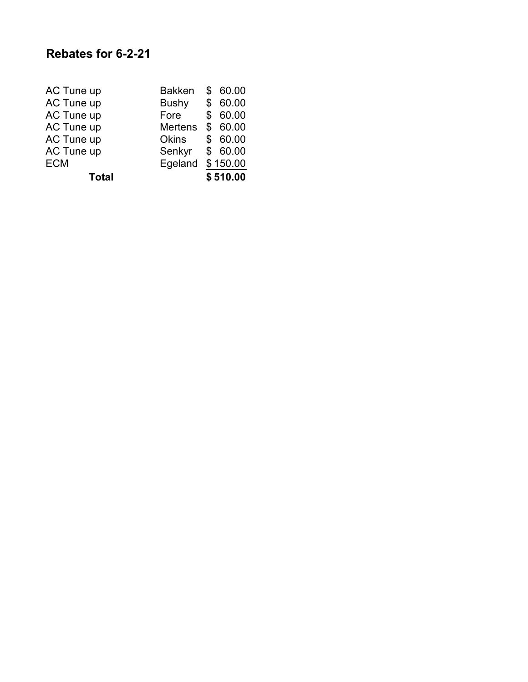| AC Tune up   | <b>Bakken</b>  | \$60.00  |
|--------------|----------------|----------|
| AC Tune up   | <b>Bushy</b>   | \$60.00  |
| AC Tune up   | Fore           | \$60.00  |
| AC Tune up   | <b>Mertens</b> | \$60.00  |
| AC Tune up   | <b>Okins</b>   | \$60.00  |
| AC Tune up   | Senkyr         | \$60.00  |
| <b>ECM</b>   | Egeland        | \$150.00 |
| <b>Total</b> |                | \$510.00 |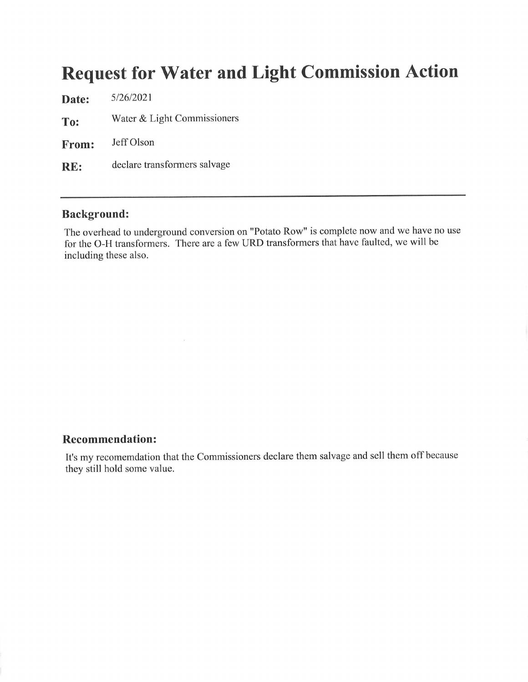## **Request for Water and Light Commission Action**

5/26/2021 Date: Water & Light Commissioners To: Jeff Olson From: declare transformers salvage RE:

#### **Background:**

The overhead to underground conversion on "Potato Row" is complete now and we have no use for the O-H transformers. There are a few URD transformers that have faulted, we will be including these also.

#### **Recommendation:**

It's my recomemdation that the Commissioners declare them salvage and sell them off because they still hold some value.